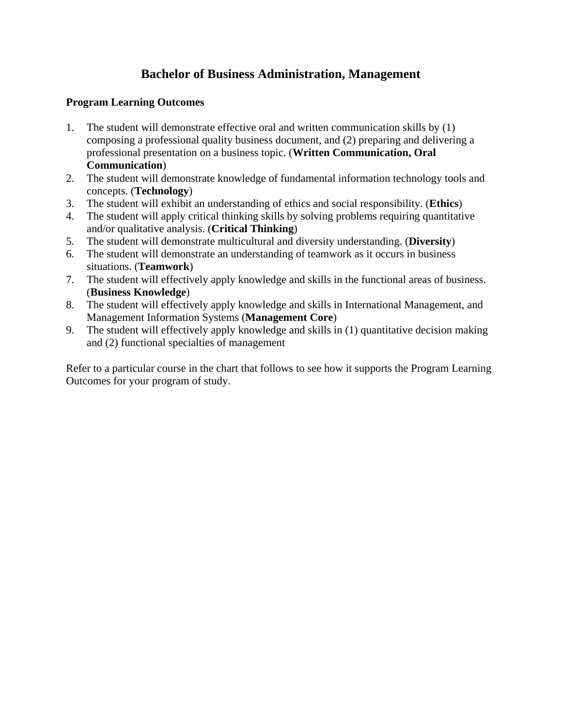## **Bachelor of Business Administration, Management**

## **Program Learning Outcomes**

- 1. The student will demonstrate effective oral and written communication skills by (1) composing a professional quality business document, and (2) preparing and delivering a professional presentation on a business topic. (**Written Communication, Oral Communication**)
- 2. The student will demonstrate knowledge of fundamental information technology tools and concepts. (**Technology**)
- 3. The student will exhibit an understanding of ethics and social responsibility. (**Ethics**)
- 4. The student will apply critical thinking skills by solving problems requiring quantitative and/or qualitative analysis. (**Critical Thinking**)
- 5. The student will demonstrate multicultural and diversity understanding. (**Diversity**)
- 6. The student will demonstrate an understanding of teamwork as it occurs in business situations. (**Teamwork**)
- 7. The student will effectively apply knowledge and skills in the functional areas of business. (**Business Knowledge**)
- 8. The student will effectively apply knowledge and skills in International Management, and Management Information Systems (**Management Core**)
- 9. The student will effectively apply knowledge and skills in (1) quantitative decision making and (2) functional specialties of management

Refer to a particular course in the chart that follows to see how it supports the Program Learning Outcomes for your program of study.